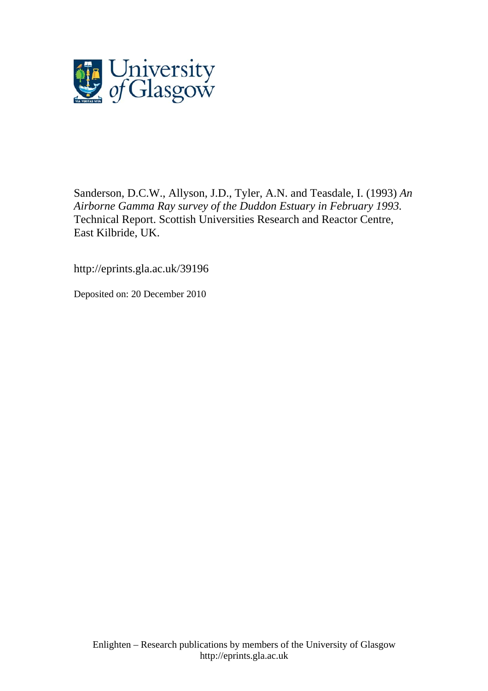

Sanderson, D.C.W., Allyson, J.D., Tyler, A.N. and Teasdale, I. (1993) *An Airborne Gamma Ray survey of the Duddon Estuary in February 1993.* Technical Report. Scottish Universities Research and Reactor Centre, East Kilbride, UK.

http://eprints.gla.ac.uk/39196

Deposited on: 20 December 2010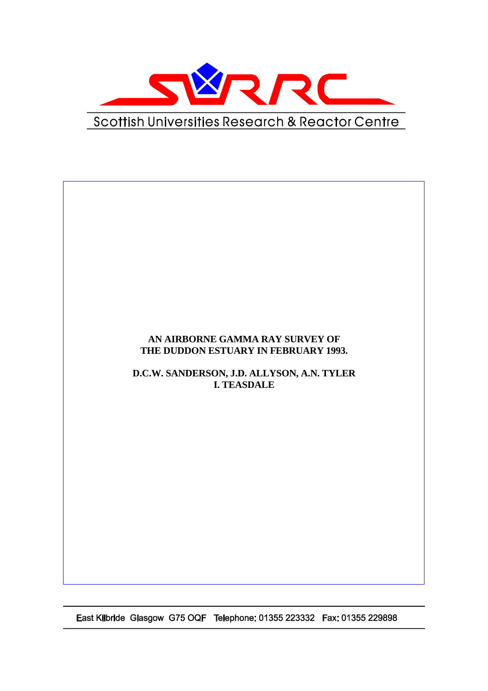

## **AN AIRBORNE GAMMA RAY SURVEY OF THE DUDDON ESTUARY IN FEBRUARY 1993.**

**D.C.W. SANDERSON, J.D. ALLYSON, A.N. TYLER I. TEASDALE** 

East Kilbride Glasgow G75 OQF Telephone: 01355 223332 Fax: 01355 229898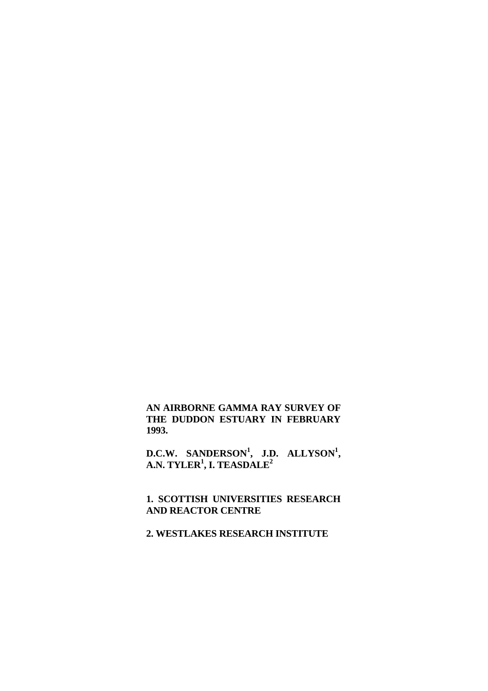**AN AIRBORNE GAMMA RAY SURVEY OF THE DUDDON ESTUARY IN FEBRUARY 1993.** 

**D.C.W. SANDERSON<sup>1</sup> , J.D. ALLYSON<sup>1</sup> , A.N. TYLER<sup>1</sup> , I. TEASDALE<sup>2</sup>**

**1. SCOTTISH UNIVERSITIES RESEARCH AND REACTOR CENTRE** 

**2. WESTLAKES RESEARCH INSTITUTE**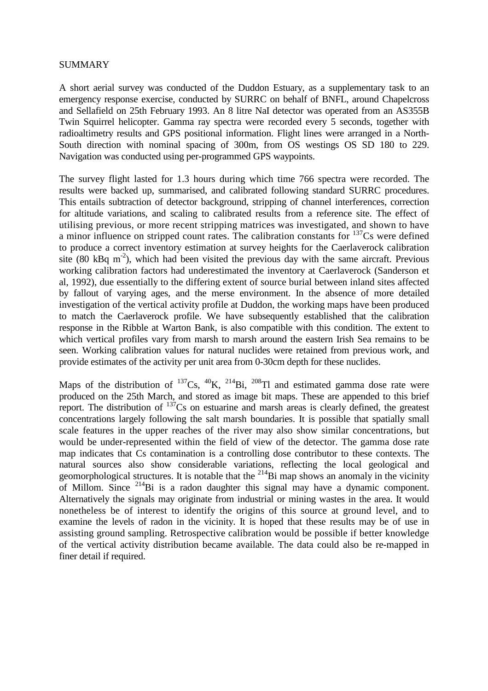## SUMMARY

A short aerial survey was conducted of the Duddon Estuary, as a supplementary task to an emergency response exercise, conducted by SURRC on behalf of BNFL, around Chapelcross and Sellafield on 25th February 1993. An 8 litre NaI detector was operated from an AS355B Twin Squirrel helicopter. Gamma ray spectra were recorded every 5 seconds, together with radioaltimetry results and GPS positional information. Flight lines were arranged in a North-South direction with nominal spacing of 300m, from OS westings OS SD 180 to 229. Navigation was conducted using per-programmed GPS waypoints.

The survey flight lasted for 1.3 hours during which time 766 spectra were recorded. The results were backed up, summarised, and calibrated following standard SURRC procedures. This entails subtraction of detector background, stripping of channel interferences, correction for altitude variations, and scaling to calibrated results from a reference site. The effect of utilising previous, or more recent stripping matrices was investigated, and shown to have a minor influence on stripped count rates. The calibration constants for <sup>137</sup>Cs were defined to produce a correct inventory estimation at survey heights for the Caerlaverock calibration site (80 kBq m<sup>-2</sup>), which had been visited the previous day with the same aircraft. Previous working calibration factors had underestimated the inventory at Caerlaverock (Sanderson et al, 1992), due essentially to the differing extent of source burial between inland sites affected by fallout of varying ages, and the merse environment. In the absence of more detailed investigation of the vertical activity profile at Duddon, the working maps have been produced to match the Caerlaverock profile. We have subsequently established that the calibration response in the Ribble at Warton Bank, is also compatible with this condition. The extent to which vertical profiles vary from marsh to marsh around the eastern Irish Sea remains to be seen. Working calibration values for natural nuclides were retained from previous work, and provide estimates of the activity per unit area from 0-30cm depth for these nuclides.

Maps of the distribution of  $^{137}Cs$ ,  $^{40}K$ ,  $^{214}Bi$ ,  $^{208}Tl$  and estimated gamma dose rate were produced on the 25th March, and stored as image bit maps. These are appended to this brief report. The distribution of  $137Cs$  on estuarine and marsh areas is clearly defined, the greatest concentrations largely following the salt marsh boundaries. It is possible that spatially small scale features in the upper reaches of the river may also show similar concentrations, but would be under-represented within the field of view of the detector. The gamma dose rate map indicates that Cs contamination is a controlling dose contributor to these contexts. The natural sources also show considerable variations, reflecting the local geological and geomorphological structures. It is notable that the  $^{214}$ Bi map shows an anomaly in the vicinity of Millom. Since  $2^{14}$ Bi is a radon daughter this signal may have a dynamic component. Alternatively the signals may originate from industrial or mining wastes in the area. It would nonetheless be of interest to identify the origins of this source at ground level, and to examine the levels of radon in the vicinity. It is hoped that these results may be of use in assisting ground sampling. Retrospective calibration would be possible if better knowledge of the vertical activity distribution became available. The data could also be re-mapped in finer detail if required.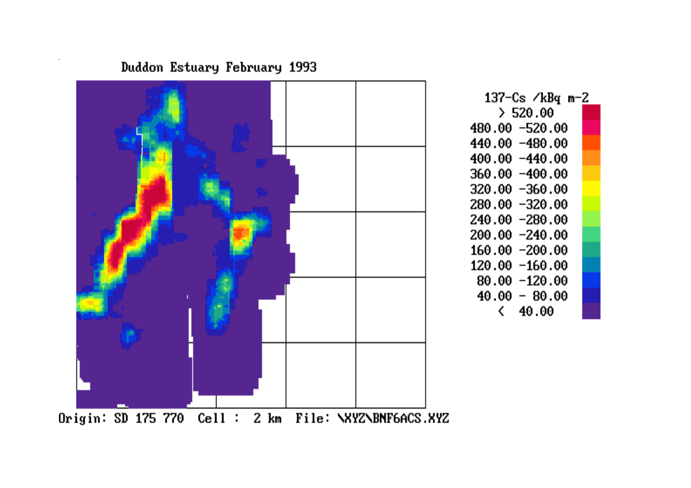

137-Cs  $\mathcal{A}BBq$  m-2  $> 520.00$ 480.00 -520.00 440.00 -480.00  $400.00 - 440.00$  $360.00 - 400.00$  $320.00 - 360.00$ 280.00 -320.00 240.00 -280.00 200.00 -240.00 160.00 -200.00  $120.00 - 160.00$  $80.00 - 120.00$  $40.00 - 80.00$ 40.00  $\left\langle \cdot \right\rangle$ 

Duddon Estuary February 1993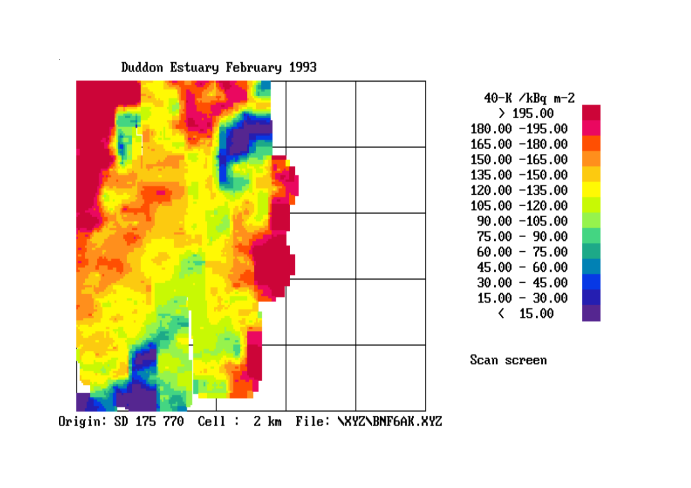

40-K  $/kBq$  m-2  $>195.00$  $180.00 - 195.00$  $165.00 - 180.00$  $150.00 - 165.00$  $135.00 - 150.00$  $120.00 - 135.00$  $105.00 - 120.00$  $90.00 - 105.00$  $75.00 - 90.00$  $60.00 - 75.00$  $45.00 - 60.00$  $30.00 - 45.00$  $15.00 - 30.00$  $\langle 15.00$ 

Scan screen

Duddon Estuary February 1993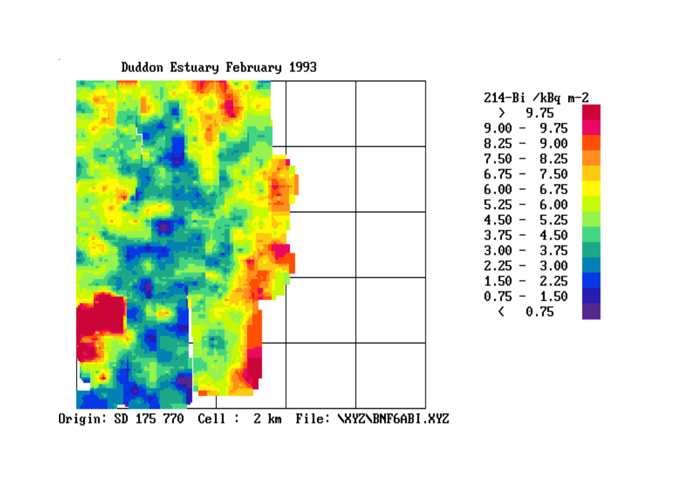

 $\sum_{i=1}^{n}$ 9.75  $9.00 - 9.75$  $8.25 - 9.00$  $7.50 - 8.25$  $6.75 - 7.50$  $6.00 - 6.75$  $5.25 - 6.00$  $4.50 - 5.25$  $3.75 - 4.50$  $3.00 - 3.75$  $2.25 - 3.00$  $1.50 - 2.25$  $0.75 - 1.50$  $0.75$  $\langle$ 

214-Bi /kBq m-2

## Duddon Estuary February 1993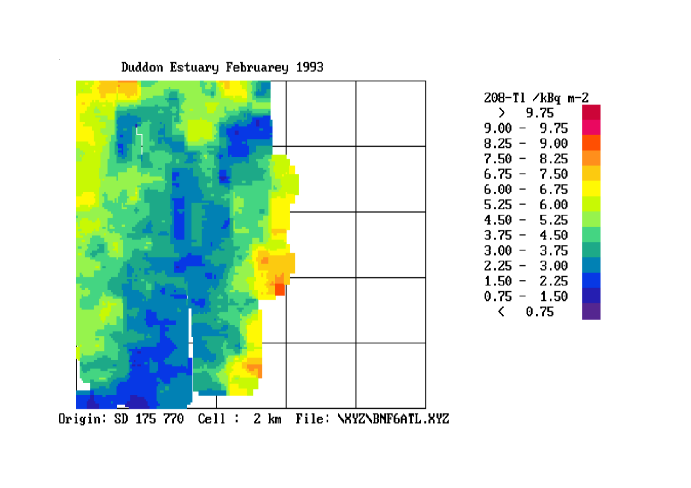

$$
208-11 \times 18q m-2
$$
\n
$$
9.75
$$
\n
$$
9.00 - 9.75
$$
\n
$$
8.25 - 9.00
$$
\n
$$
8.25 - 8.25
$$
\n
$$
6.75 - 6.75
$$
\n
$$
6.75 - 6.75
$$
\n
$$
6.00 - 6.75
$$
\n
$$
6.25 - 6.00
$$
\n
$$
6.25 - 6.00
$$
\n
$$
6.25 - 6.00
$$
\n
$$
6.25 - 6.25
$$
\n
$$
6.25 - 4.50
$$
\n
$$
3.75 - 4.50
$$
\n
$$
2.25 - 3.00
$$
\n
$$
1.50 - 2.25
$$
\n
$$
0.75 - 1.50
$$

Duddon Estuary Februarey 1993